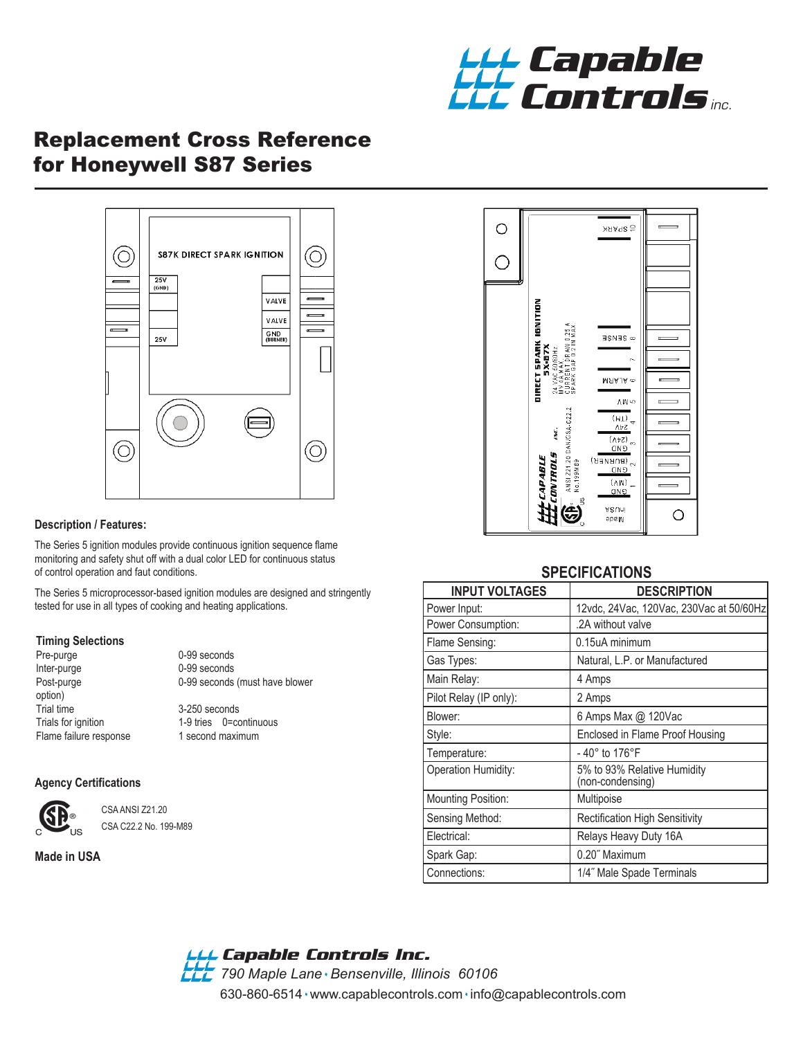

# Replacement Cross Reference for Honeywell S87 Series



#### **Description / Features:**

The Series 5 ignition modules provide continuous ignition sequence flame monitoring and safety shut off with a dual color LED for continuous status of control operation and faut conditions.

The Series 5 microprocessor-based ignition modules are designed and stringently tested for use in all types of cooking and heating applications.

#### **Timing Selections**

| Pre-purge             |
|-----------------------|
| Inter-purge           |
| Post-purge            |
| option)               |
| <b>Trial time</b>     |
| Trials for ignition   |
| Flame failure respons |

0-99 seconds 0-99 seconds 0-99 seconds (must have blower

3-250 seconds 1-9 tries 0=continuous Flame failure 1 second maximum

#### **Agency Certifications**



 CSA ANSI Z21.20 CSA C22.2 No. 199-M89

**Made in USA**



#### **SPECIFICATIONS**

| <b>INPUT VOLTAGES</b>     | <b>DESCRIPTION</b>                              |
|---------------------------|-------------------------------------------------|
| Power Input:              | 12vdc, 24Vac, 120Vac, 230Vac at 50/60Hz         |
| Power Consumption:        | .2A without valve                               |
| Flame Sensing:            | 0.15uA minimum                                  |
| Gas Types:                | Natural, L.P. or Manufactured                   |
| Main Relay:               | 4 Amps                                          |
| Pilot Relay (IP only):    | 2 Amps                                          |
| Blower:                   | 6 Amps Max @ 120Vac                             |
| Style:                    | Enclosed in Flame Proof Housing                 |
| Temperature:              | $-40^{\circ}$ to 176 $^{\circ}$ F               |
| Operation Humidity:       | 5% to 93% Relative Humidity<br>(non-condensing) |
| <b>Mounting Position:</b> | Multipoise                                      |
| Sensing Method:           | <b>Rectification High Sensitivity</b>           |
| Electrical:               | Relays Heavy Duty 16A                           |
| Spark Gap:                | 0.20" Maximum                                   |
| Connections:              | 1/4" Male Spade Terminals                       |

## *Capable Controls Inc.*

630-860-6514 www.capablecontrols.com info@capablecontrols.com *790 Maple Lane Bensenville, Illinois 60106*